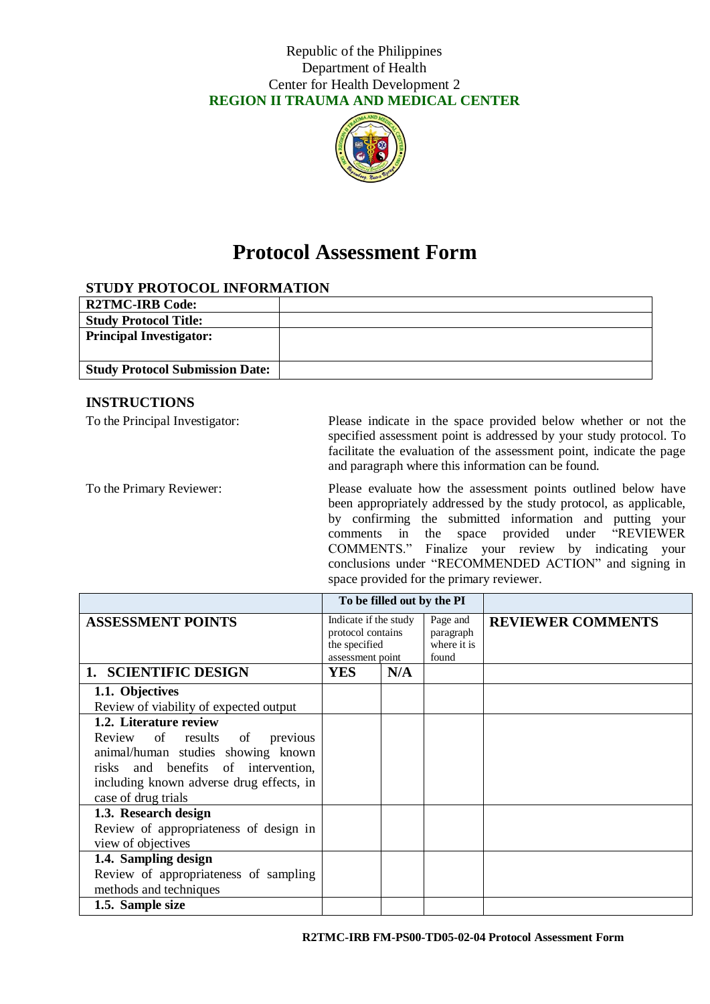

# **Protocol Assessment Form**

## **STUDY PROTOCOL INFORMATION**

| <b>R2TMC-IRB Code:</b>                 |  |
|----------------------------------------|--|
| <b>Study Protocol Title:</b>           |  |
| <b>Principal Investigator:</b>         |  |
| <b>Study Protocol Submission Date:</b> |  |

#### **INSTRUCTIONS**

To the Principal Investigator: Please indicate in the space provided below whether or not the specified assessment point is addressed by your study protocol. To facilitate the evaluation of the assessment point, indicate the page and paragraph where this information can be found.

To the Primary Reviewer: Please evaluate how the assessment points outlined below have been appropriately addressed by the study protocol, as applicable, by confirming the submitted information and putting your comments in the space provided under "REVIEWER COMMENTS." Finalize your review by indicating your conclusions under "RECOMMENDED ACTION" and signing in space provided for the primary reviewer.

|                                                                                                                                                                                                            | To be filled out by the PI                                                      |     |                                               |                          |
|------------------------------------------------------------------------------------------------------------------------------------------------------------------------------------------------------------|---------------------------------------------------------------------------------|-----|-----------------------------------------------|--------------------------|
| <b>ASSESSMENT POINTS</b>                                                                                                                                                                                   | Indicate if the study<br>protocol contains<br>the specified<br>assessment point |     | Page and<br>paragraph<br>where it is<br>found | <b>REVIEWER COMMENTS</b> |
| 1. SCIENTIFIC DESIGN                                                                                                                                                                                       | <b>YES</b>                                                                      | N/A |                                               |                          |
| 1.1. Objectives<br>Review of viability of expected output                                                                                                                                                  |                                                                                 |     |                                               |                          |
| 1.2. Literature review<br>Review of results of<br>previous<br>animal/human studies showing known<br>risks and benefits of intervention,<br>including known adverse drug effects, in<br>case of drug trials |                                                                                 |     |                                               |                          |
| 1.3. Research design<br>Review of appropriateness of design in<br>view of objectives                                                                                                                       |                                                                                 |     |                                               |                          |
| 1.4. Sampling design<br>Review of appropriateness of sampling<br>methods and techniques                                                                                                                    |                                                                                 |     |                                               |                          |
| 1.5. Sample size                                                                                                                                                                                           |                                                                                 |     |                                               |                          |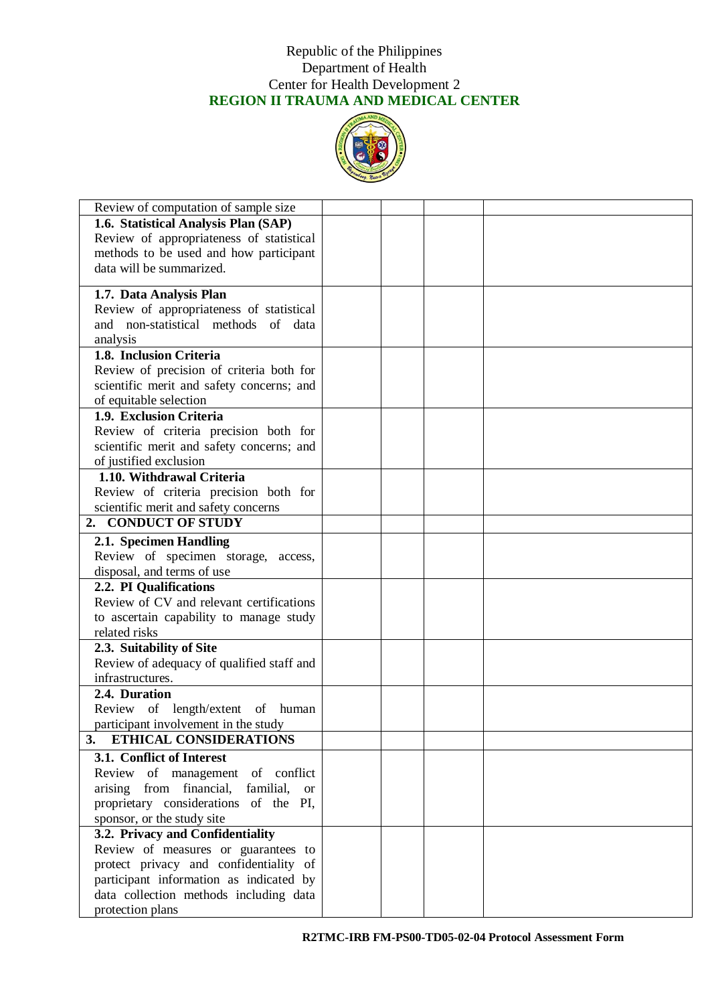

| Review of computation of sample size               |  |  |
|----------------------------------------------------|--|--|
| 1.6. Statistical Analysis Plan (SAP)               |  |  |
| Review of appropriateness of statistical           |  |  |
| methods to be used and how participant             |  |  |
| data will be summarized.                           |  |  |
|                                                    |  |  |
| 1.7. Data Analysis Plan                            |  |  |
| Review of appropriateness of statistical           |  |  |
| and non-statistical methods of data                |  |  |
| analysis                                           |  |  |
| 1.8. Inclusion Criteria                            |  |  |
| Review of precision of criteria both for           |  |  |
| scientific merit and safety concerns; and          |  |  |
| of equitable selection                             |  |  |
| 1.9. Exclusion Criteria                            |  |  |
| Review of criteria precision both for              |  |  |
| scientific merit and safety concerns; and          |  |  |
| of justified exclusion                             |  |  |
| 1.10. Withdrawal Criteria                          |  |  |
| Review of criteria precision both for              |  |  |
| scientific merit and safety concerns               |  |  |
| 2. CONDUCT OF STUDY                                |  |  |
| 2.1. Specimen Handling                             |  |  |
| Review of specimen storage, access,                |  |  |
| disposal, and terms of use                         |  |  |
| 2.2. PI Qualifications                             |  |  |
| Review of CV and relevant certifications           |  |  |
| to ascertain capability to manage study            |  |  |
| related risks                                      |  |  |
| 2.3. Suitability of Site                           |  |  |
| Review of adequacy of qualified staff and          |  |  |
| infrastructures.                                   |  |  |
| 2.4. Duration                                      |  |  |
| Review of length/extent of<br>human                |  |  |
| participant involvement in the study               |  |  |
| ETHICAL CONSIDERATIONS<br>3.                       |  |  |
| 3.1. Conflict of Interest                          |  |  |
| Review of management of conflict                   |  |  |
| arising from financial, familial,<br><sub>or</sub> |  |  |
| proprietary considerations of the PI,              |  |  |
| sponsor, or the study site                         |  |  |
| 3.2. Privacy and Confidentiality                   |  |  |
| Review of measures or guarantees to                |  |  |
| protect privacy and confidentiality of             |  |  |
| participant information as indicated by            |  |  |
| data collection methods including data             |  |  |
| protection plans                                   |  |  |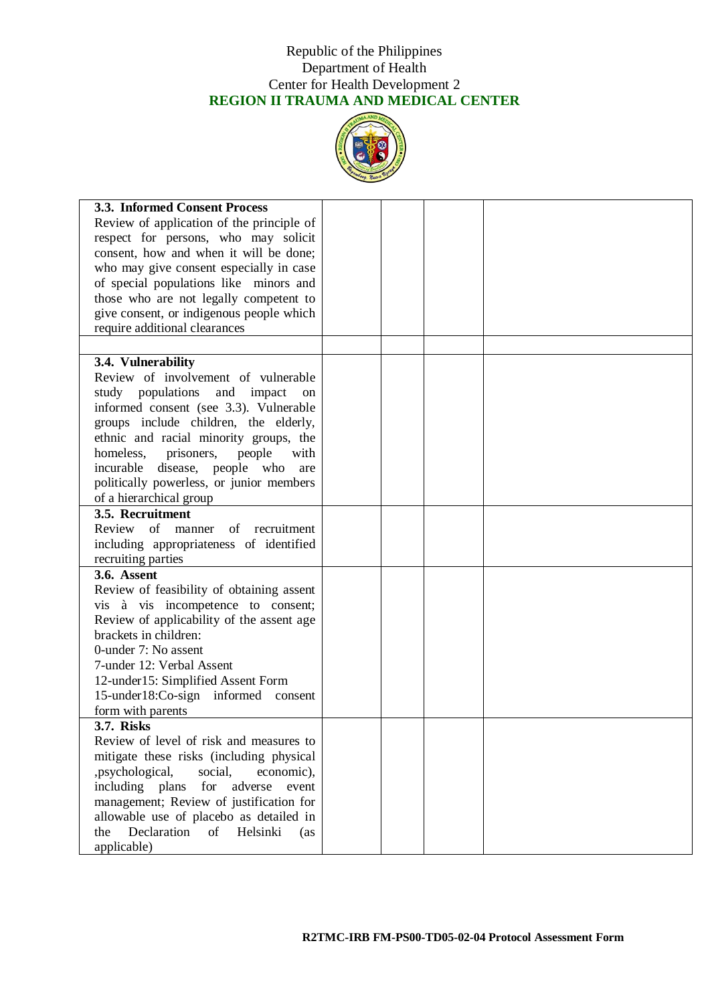

| 3.3. Informed Consent Process<br>Review of application of the principle of |  |  |
|----------------------------------------------------------------------------|--|--|
| respect for persons, who may solicit                                       |  |  |
| consent, how and when it will be done;                                     |  |  |
| who may give consent especially in case                                    |  |  |
| of special populations like minors and                                     |  |  |
| those who are not legally competent to                                     |  |  |
| give consent, or indigenous people which                                   |  |  |
| require additional clearances                                              |  |  |
|                                                                            |  |  |
| 3.4. Vulnerability                                                         |  |  |
| Review of involvement of vulnerable                                        |  |  |
| study populations and impact<br>on                                         |  |  |
| informed consent (see 3.3). Vulnerable                                     |  |  |
| groups include children, the elderly,                                      |  |  |
| ethnic and racial minority groups, the                                     |  |  |
| homeless.<br>prisoners,<br>people<br>with                                  |  |  |
| incurable disease, people who<br>are                                       |  |  |
| politically powerless, or junior members                                   |  |  |
| of a hierarchical group                                                    |  |  |
| 3.5. Recruitment                                                           |  |  |
| Review<br>of manner<br>of recruitment                                      |  |  |
| including appropriateness of identified                                    |  |  |
| recruiting parties                                                         |  |  |
| 3.6. Assent                                                                |  |  |
| Review of feasibility of obtaining assent                                  |  |  |
| vis à vis incompetence to consent;                                         |  |  |
| Review of applicability of the assent age<br>brackets in children:         |  |  |
| 0-under 7: No assent                                                       |  |  |
| 7-under 12: Verbal Assent                                                  |  |  |
| 12-under15: Simplified Assent Form                                         |  |  |
| 15-under18:Co-sign informed consent                                        |  |  |
| form with parents                                                          |  |  |
| 3.7. Risks                                                                 |  |  |
| Review of level of risk and measures to                                    |  |  |
| mitigate these risks (including physical                                   |  |  |
| ,psychological,<br>social.<br>economic),                                   |  |  |
| including plans<br>for<br>adverse<br>event                                 |  |  |
| management; Review of justification for                                    |  |  |
| allowable use of placebo as detailed in                                    |  |  |
| Declaration<br>of<br>Helsinki<br>the<br>(as                                |  |  |
| applicable)                                                                |  |  |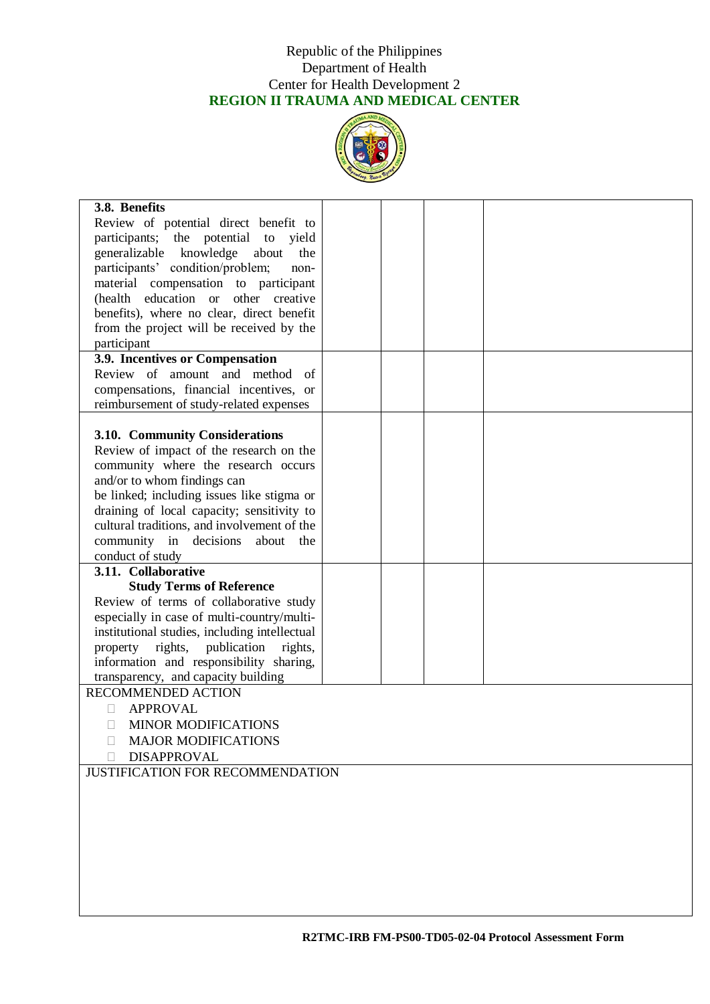

| 3.8. Benefits                                                    |  |  |
|------------------------------------------------------------------|--|--|
| Review of potential direct benefit to                            |  |  |
| participants; the potential to yield                             |  |  |
| generalizable knowledge<br>about<br>the                          |  |  |
| participants' condition/problem;<br>non-                         |  |  |
| material compensation to participant                             |  |  |
| education or<br>other creative<br>(health                        |  |  |
| benefits), where no clear, direct benefit                        |  |  |
| from the project will be received by the                         |  |  |
| participant<br>3.9. Incentives or Compensation                   |  |  |
| Review of amount and method<br>- of                              |  |  |
| compensations, financial incentives, or                          |  |  |
| reimbursement of study-related expenses                          |  |  |
|                                                                  |  |  |
| 3.10. Community Considerations                                   |  |  |
| Review of impact of the research on the                          |  |  |
| community where the research occurs                              |  |  |
| and/or to whom findings can                                      |  |  |
| be linked; including issues like stigma or                       |  |  |
| draining of local capacity; sensitivity to                       |  |  |
| cultural traditions, and involvement of the                      |  |  |
| community in decisions<br>about<br>the                           |  |  |
| conduct of study                                                 |  |  |
| 3.11. Collaborative                                              |  |  |
| <b>Study Terms of Reference</b>                                  |  |  |
| Review of terms of collaborative study                           |  |  |
| especially in case of multi-country/multi-                       |  |  |
| institutional studies, including intellectual                    |  |  |
| property rights, publication<br>rights,                          |  |  |
| information and responsibility sharing,                          |  |  |
| transparency, and capacity building<br><b>RECOMMENDED ACTION</b> |  |  |
| <b>APPROVAL</b><br>П                                             |  |  |
| <b>MINOR MODIFICATIONS</b>                                       |  |  |
| <b>MAJOR MODIFICATIONS</b>                                       |  |  |
| <b>DISAPPROVAL</b>                                               |  |  |
| <b>JUSTIFICATION FOR RECOMMENDATION</b>                          |  |  |
|                                                                  |  |  |
|                                                                  |  |  |
|                                                                  |  |  |
|                                                                  |  |  |
|                                                                  |  |  |
|                                                                  |  |  |
|                                                                  |  |  |